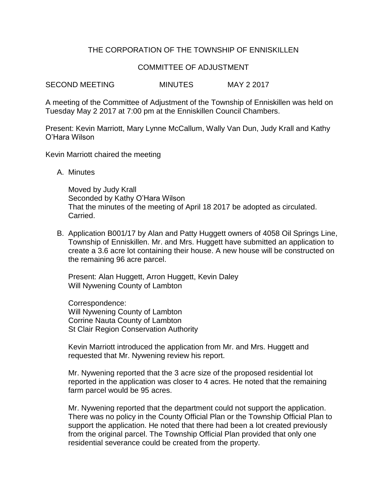## THE CORPORATION OF THE TOWNSHIP OF ENNISKILLEN

## COMMITTEE OF ADJUSTMENT

SECOND MEETING MINUTES MAY 2 2017

A meeting of the Committee of Adjustment of the Township of Enniskillen was held on Tuesday May 2 2017 at 7:00 pm at the Enniskillen Council Chambers.

Present: Kevin Marriott, Mary Lynne McCallum, Wally Van Dun, Judy Krall and Kathy O'Hara Wilson

Kevin Marriott chaired the meeting

A. Minutes

Moved by Judy Krall Seconded by Kathy O'Hara Wilson That the minutes of the meeting of April 18 2017 be adopted as circulated. Carried.

B. Application B001/17 by Alan and Patty Huggett owners of 4058 Oil Springs Line, Township of Enniskillen. Mr. and Mrs. Huggett have submitted an application to create a 3.6 acre lot containing their house. A new house will be constructed on the remaining 96 acre parcel.

Present: Alan Huggett, Arron Huggett, Kevin Daley Will Nywening County of Lambton

Correspondence: Will Nywening County of Lambton Corrine Nauta County of Lambton St Clair Region Conservation Authority

Kevin Marriott introduced the application from Mr. and Mrs. Huggett and requested that Mr. Nywening review his report.

Mr. Nywening reported that the 3 acre size of the proposed residential lot reported in the application was closer to 4 acres. He noted that the remaining farm parcel would be 95 acres.

Mr. Nywening reported that the department could not support the application. There was no policy in the County Official Plan or the Township Official Plan to support the application. He noted that there had been a lot created previously from the original parcel. The Township Official Plan provided that only one residential severance could be created from the property.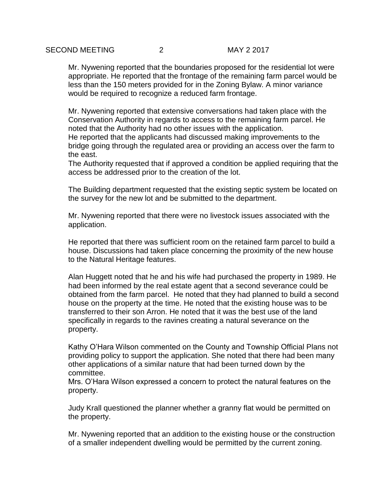Mr. Nywening reported that the boundaries proposed for the residential lot were appropriate. He reported that the frontage of the remaining farm parcel would be less than the 150 meters provided for in the Zoning Bylaw. A minor variance would be required to recognize a reduced farm frontage.

Mr. Nywening reported that extensive conversations had taken place with the Conservation Authority in regards to access to the remaining farm parcel. He noted that the Authority had no other issues with the application.

He reported that the applicants had discussed making improvements to the bridge going through the regulated area or providing an access over the farm to the east.

The Authority requested that if approved a condition be applied requiring that the access be addressed prior to the creation of the lot.

The Building department requested that the existing septic system be located on the survey for the new lot and be submitted to the department.

Mr. Nywening reported that there were no livestock issues associated with the application.

He reported that there was sufficient room on the retained farm parcel to build a house. Discussions had taken place concerning the proximity of the new house to the Natural Heritage features.

Alan Huggett noted that he and his wife had purchased the property in 1989. He had been informed by the real estate agent that a second severance could be obtained from the farm parcel. He noted that they had planned to build a second house on the property at the time. He noted that the existing house was to be transferred to their son Arron. He noted that it was the best use of the land specifically in regards to the ravines creating a natural severance on the property.

Kathy O'Hara Wilson commented on the County and Township Official Plans not providing policy to support the application. She noted that there had been many other applications of a similar nature that had been turned down by the committee.

Mrs. O'Hara Wilson expressed a concern to protect the natural features on the property.

Judy Krall questioned the planner whether a granny flat would be permitted on the property.

Mr. Nywening reported that an addition to the existing house or the construction of a smaller independent dwelling would be permitted by the current zoning.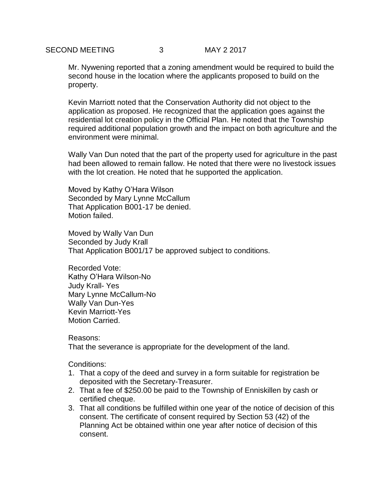Mr. Nywening reported that a zoning amendment would be required to build the second house in the location where the applicants proposed to build on the property.

Kevin Marriott noted that the Conservation Authority did not object to the application as proposed. He recognized that the application goes against the residential lot creation policy in the Official Plan. He noted that the Township required additional population growth and the impact on both agriculture and the environment were minimal.

Wally Van Dun noted that the part of the property used for agriculture in the past had been allowed to remain fallow. He noted that there were no livestock issues with the lot creation. He noted that he supported the application.

Moved by Kathy O'Hara Wilson Seconded by Mary Lynne McCallum That Application B001-17 be denied. Motion failed.

Moved by Wally Van Dun Seconded by Judy Krall That Application B001/17 be approved subject to conditions.

Recorded Vote: Kathy O'Hara Wilson-No Judy Krall- Yes Mary Lynne McCallum-No Wally Van Dun-Yes Kevin Marriott-Yes Motion Carried.

Reasons:

That the severance is appropriate for the development of the land.

Conditions:

- 1. That a copy of the deed and survey in a form suitable for registration be deposited with the Secretary-Treasurer.
- 2. That a fee of \$250.00 be paid to the Township of Enniskillen by cash or certified cheque.
- 3. That all conditions be fulfilled within one year of the notice of decision of this consent. The certificate of consent required by Section 53 (42) of the Planning Act be obtained within one year after notice of decision of this consent.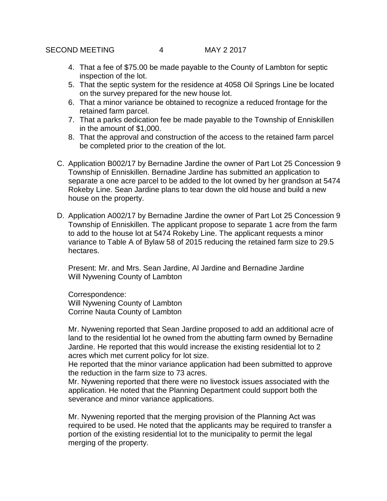- 4. That a fee of \$75.00 be made payable to the County of Lambton for septic inspection of the lot.
- 5. That the septic system for the residence at 4058 Oil Springs Line be located on the survey prepared for the new house lot.
- 6. That a minor variance be obtained to recognize a reduced frontage for the retained farm parcel.
- 7. That a parks dedication fee be made payable to the Township of Enniskillen in the amount of \$1,000.
- 8. That the approval and construction of the access to the retained farm parcel be completed prior to the creation of the lot.
- C. Application B002/17 by Bernadine Jardine the owner of Part Lot 25 Concession 9 Township of Enniskillen. Bernadine Jardine has submitted an application to separate a one acre parcel to be added to the lot owned by her grandson at 5474 Rokeby Line. Sean Jardine plans to tear down the old house and build a new house on the property.
- D. Application A002/17 by Bernadine Jardine the owner of Part Lot 25 Concession 9 Township of Enniskillen. The applicant propose to separate 1 acre from the farm to add to the house lot at 5474 Rokeby Line. The applicant requests a minor variance to Table A of Bylaw 58 of 2015 reducing the retained farm size to 29.5 hectares.

Present: Mr. and Mrs. Sean Jardine, Al Jardine and Bernadine Jardine Will Nywening County of Lambton

Correspondence: Will Nywening County of Lambton Corrine Nauta County of Lambton

Mr. Nywening reported that Sean Jardine proposed to add an additional acre of land to the residential lot he owned from the abutting farm owned by Bernadine Jardine. He reported that this would increase the existing residential lot to 2 acres which met current policy for lot size.

He reported that the minor variance application had been submitted to approve the reduction in the farm size to 73 acres.

Mr. Nywening reported that there were no livestock issues associated with the application. He noted that the Planning Department could support both the severance and minor variance applications.

Mr. Nywening reported that the merging provision of the Planning Act was required to be used. He noted that the applicants may be required to transfer a portion of the existing residential lot to the municipality to permit the legal merging of the property.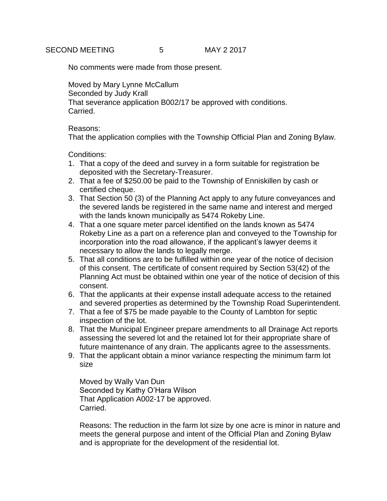No comments were made from those present.

Moved by Mary Lynne McCallum Seconded by Judy Krall That severance application B002/17 be approved with conditions. Carried.

Reasons:

That the application complies with the Township Official Plan and Zoning Bylaw.

Conditions:

- 1. That a copy of the deed and survey in a form suitable for registration be deposited with the Secretary-Treasurer.
- 2. That a fee of \$250.00 be paid to the Township of Enniskillen by cash or certified cheque.
- 3. That Section 50 (3) of the Planning Act apply to any future conveyances and the severed lands be registered in the same name and interest and merged with the lands known municipally as 5474 Rokeby Line.
- 4. That a one square meter parcel identified on the lands known as 5474 Rokeby Line as a part on a reference plan and conveyed to the Township for incorporation into the road allowance, if the applicant's lawyer deems it necessary to allow the lands to legally merge.
- 5. That all conditions are to be fulfilled within one year of the notice of decision of this consent. The certificate of consent required by Section 53(42) of the Planning Act must be obtained within one year of the notice of decision of this consent.
- 6. That the applicants at their expense install adequate access to the retained and severed properties as determined by the Township Road Superintendent.
- 7. That a fee of \$75 be made payable to the County of Lambton for septic inspection of the lot.
- 8. That the Municipal Engineer prepare amendments to all Drainage Act reports assessing the severed lot and the retained lot for their appropriate share of future maintenance of any drain. The applicants agree to the assessments.
- 9. That the applicant obtain a minor variance respecting the minimum farm lot size

Moved by Wally Van Dun Seconded by Kathy O'Hara Wilson That Application A002-17 be approved. Carried.

Reasons: The reduction in the farm lot size by one acre is minor in nature and meets the general purpose and intent of the Official Plan and Zoning Bylaw and is appropriate for the development of the residential lot.